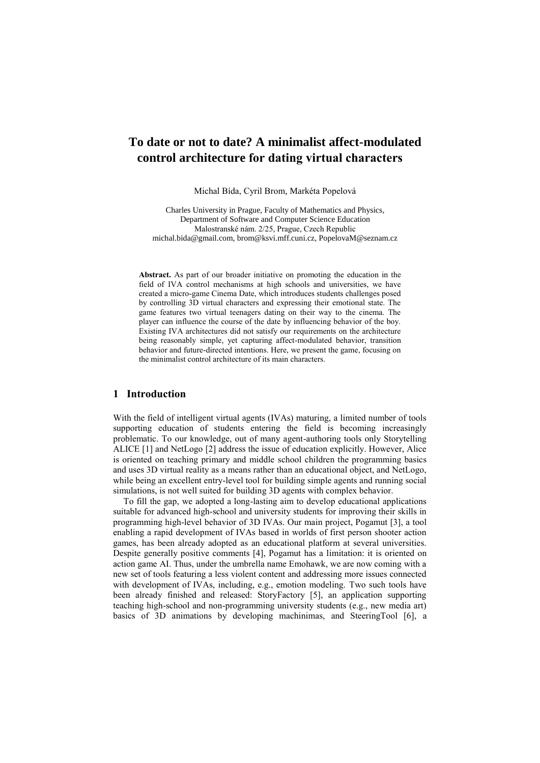# **To date or not to date? A minimalist affect-modulated control architecture for dating virtual characters**

Michal Bída, Cyril Brom, Markéta Popelová

Charles University in Prague, Faculty of Mathematics and Physics, Department of Software and Computer Science Education Malostranské nám. 2/25, Prague, Czech Republic michal.bida@gmail.com, brom@ksvi.mff.cuni.cz, PopelovaM@seznam.cz

**Abstract.** As part of our broader initiative on promoting the education in the field of IVA control mechanisms at high schools and universities, we have created a micro-game Cinema Date, which introduces students challenges posed by controlling 3D virtual characters and expressing their emotional state. The game features two virtual teenagers dating on their way to the cinema. The player can influence the course of the date by influencing behavior of the boy. Existing IVA architectures did not satisfy our requirements on the architecture being reasonably simple, yet capturing affect-modulated behavior, transition behavior and future-directed intentions. Here, we present the game, focusing on the minimalist control architecture of its main characters.

### **1 Introduction**

With the field of intelligent virtual agents (IVAs) maturing, a limited number of tools supporting education of students entering the field is becoming increasingly problematic. To our knowledge, out of many agent-authoring tools only Storytelling ALICE [1] and NetLogo [2] address the issue of education explicitly. However, Alice is oriented on teaching primary and middle school children the programming basics and uses 3D virtual reality as a means rather than an educational object, and NetLogo, while being an excellent entry-level tool for building simple agents and running social simulations, is not well suited for building 3D agents with complex behavior.

To fill the gap, we adopted a long-lasting aim to develop educational applications suitable for advanced high-school and university students for improving their skills in programming high-level behavior of 3D IVAs. Our main project, Pogamut [3], a tool enabling a rapid development of IVAs based in worlds of first person shooter action games, has been already adopted as an educational platform at several universities. Despite generally positive comments [4], Pogamut has a limitation: it is oriented on action game AI. Thus, under the umbrella name Emohawk, we are now coming with a new set of tools featuring a less violent content and addressing more issues connected with development of IVAs, including, e.g., emotion modeling. Two such tools have been already finished and released: StoryFactory [5], an application supporting teaching high-school and non-programming university students (e.g., new media art) basics of 3D animations by developing machinimas, and SteeringTool [6], a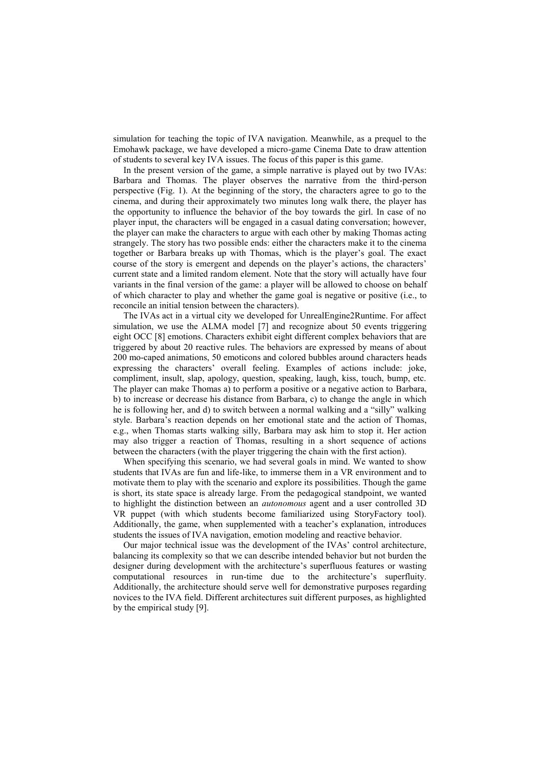simulation for teaching the topic of IVA navigation. Meanwhile, as a prequel to the Emohawk package, we have developed a micro-game Cinema Date to draw attention of students to several key IVA issues. The focus of this paper is this game.

In the present version of the game, a simple narrative is played out by two IVAs: Barbara and Thomas. The player observes the narrative from the third-person perspective (Fig. 1). At the beginning of the story, the characters agree to go to the cinema, and during their approximately two minutes long walk there, the player has the opportunity to influence the behavior of the boy towards the girl. In case of no player input, the characters will be engaged in a casual dating conversation; however, the player can make the characters to argue with each other by making Thomas acting strangely. The story has two possible ends: either the characters make it to the cinema together or Barbara breaks up with Thomas, which is the player's goal. The exact course of the story is emergent and depends on the player's actions, the characters' current state and a limited random element. Note that the story will actually have four variants in the final version of the game: a player will be allowed to choose on behalf of which character to play and whether the game goal is negative or positive (i.e., to reconcile an initial tension between the characters).

The IVAs act in a virtual city we developed for UnrealEngine2Runtime. For affect simulation, we use the ALMA model [7] and recognize about 50 events triggering eight OCC [8] emotions. Characters exhibit eight different complex behaviors that are triggered by about 20 reactive rules. The behaviors are expressed by means of about 200 mo-caped animations, 50 emoticons and colored bubbles around characters heads expressing the characters' overall feeling. Examples of actions include: joke, compliment, insult, slap, apology, question, speaking, laugh, kiss, touch, bump, etc. The player can make Thomas a) to perform a positive or a negative action to Barbara, b) to increase or decrease his distance from Barbara, c) to change the angle in which he is following her, and d) to switch between a normal walking and a "silly" walking style. Barbara's reaction depends on her emotional state and the action of Thomas, e.g., when Thomas starts walking silly, Barbara may ask him to stop it. Her action may also trigger a reaction of Thomas, resulting in a short sequence of actions between the characters (with the player triggering the chain with the first action).

When specifying this scenario, we had several goals in mind. We wanted to show students that IVAs are fun and life-like, to immerse them in a VR environment and to motivate them to play with the scenario and explore its possibilities. Though the game is short, its state space is already large. From the pedagogical standpoint, we wanted to highlight the distinction between an *autonomous* agent and a user controlled 3D VR puppet (with which students become familiarized using StoryFactory tool). Additionally, the game, when supplemented with a teacher's explanation, introduces students the issues of IVA navigation, emotion modeling and reactive behavior.

Our major technical issue was the development of the IVAs' control architecture, balancing its complexity so that we can describe intended behavior but not burden the designer during development with the architecture's superfluous features or wasting computational resources in run-time due to the architecture's superfluity. Additionally, the architecture should serve well for demonstrative purposes regarding novices to the IVA field. Different architectures suit different purposes, as highlighted by the empirical study [9].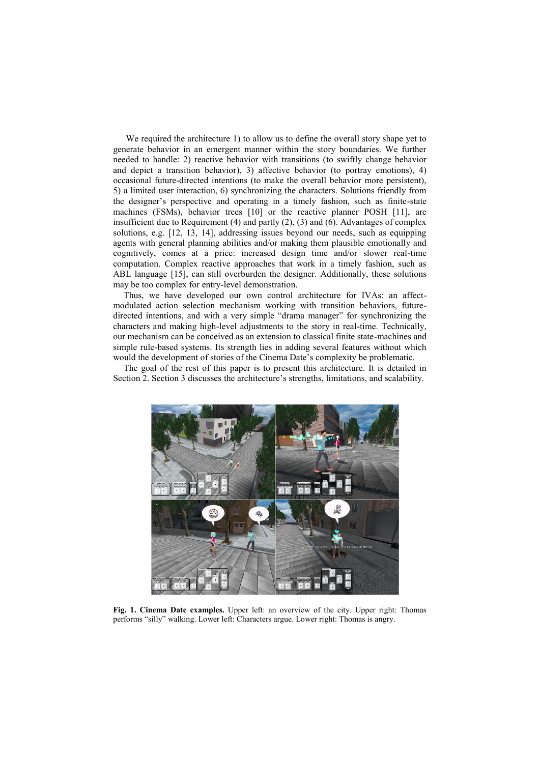We required the architecture 1) to allow us to define the overall story shape yet to generate behavior in an emergent manner within the story boundaries. We further needed to handle: 2) reactive behavior with transitions (to swiftly change behavior and depict a transition behavior), 3) affective behavior (to portray emotions), 4) occasional future-directed intentions (to make the overall behavior more persistent), 5) a limited user interaction, 6) synchronizing the characters. Solutions friendly from the designer's perspective and operating in a timely fashion, such as finite-state machines (FSMs), behavior trees [10] or the reactive planner POSH [11], are insufficient due to Requirement (4) and partly (2), (3) and (6). Advantages of complex solutions, e.g. [12, 13, 14], addressing issues beyond our needs, such as equipping agents with general planning abilities and/or making them plausible emotionally and cognitively, comes at a price: increased design time and/or slower real-time computation. Complex reactive approaches that work in a timely fashion, such as ABL language [15], can still overburden the designer. Additionally, these solutions may be too complex for entry-level demonstration.

Thus, we have developed our own control architecture for IVAs: an affectmodulated action selection mechanism working with transition behaviors, futuredirected intentions, and with a very simple "drama manager" for synchronizing the characters and making high-level adjustments to the story in real-time. Technically, our mechanism can be conceived as an extension to classical finite state-machines and simple rule-based systems. Its strength lies in adding several features without which would the development of stories of the Cinema Date's complexity be problematic.

The goal of the rest of this paper is to present this architecture. It is detailed in Section 2. Section 3 discusses the architecture's strengths, limitations, and scalability.



**Fig. 1. Cinema Date examples.** Upper left: an overview of the city. Upper right: Thomas performs "silly" walking. Lower left: Characters argue. Lower right: Thomas is angry.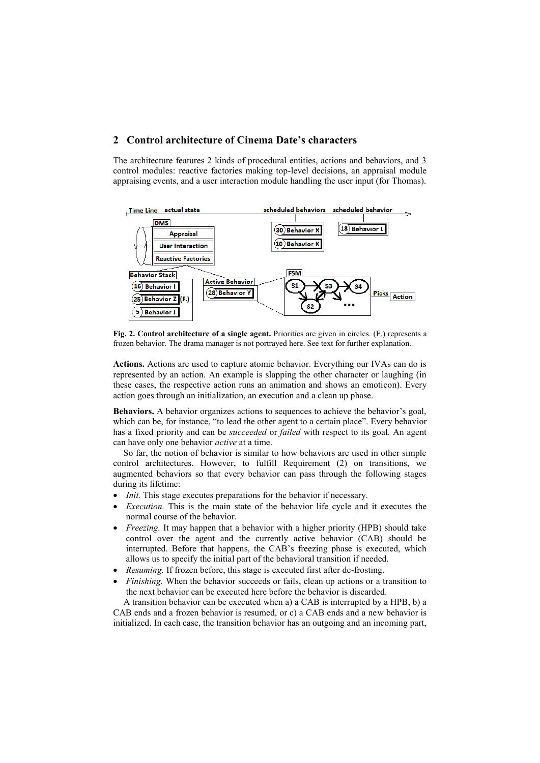## **2 Control architecture of Cinema Date's characters**

The architecture features 2 kinds of procedural entities, actions and behaviors, and 3 control modules: reactive factories making top-level decisions, an appraisal module appraising events, and a user interaction module handling the user input (for Thomas).



**Fig. 2. Control architecture of a single agent.** Priorities are given in circles. (F.) represents a frozen behavior. The drama manager is not portrayed here. See text for further explanation.

**Actions.** Actions are used to capture atomic behavior. Everything our IVAs can do is represented by an action. An example is slapping the other character or laughing (in these cases, the respective action runs an animation and shows an emoticon). Every action goes through an initialization, an execution and a clean up phase.

**Behaviors.** A behavior organizes actions to sequences to achieve the behavior's goal, which can be, for instance, "to lead the other agent to a certain place". Every behavior has a fixed priority and can be *succeeded* or *failed* with respect to its goal. An agent can have only one behavior *active* at a time.

So far, the notion of behavior is similar to how behaviors are used in other simple control architectures. However, to fulfill Requirement (2) on transitions, we augmented behaviors so that every behavior can pass through the following stages during its lifetime:

- *Init.* This stage executes preparations for the behavior if necessary.
- *Execution.* This is the main state of the behavior life cycle and it executes the normal course of the behavior.
- *Freezing.* It may happen that a behavior with a higher priority (HPB) should take control over the agent and the currently active behavior (CAB) should be interrupted. Before that happens, the CAB's freezing phase is executed, which allows us to specify the initial part of the behavioral transition if needed.
- *Resuming.* If frozen before, this stage is executed first after de-frosting.
- *Finishing.* When the behavior succeeds or fails, clean up actions or a transition to the next behavior can be executed here before the behavior is discarded.

A transition behavior can be executed when a) a CAB is interrupted by a HPB, b) a CAB ends and a frozen behavior is resumed, or c) a CAB ends and a new behavior is initialized. In each case, the transition behavior has an outgoing and an incoming part,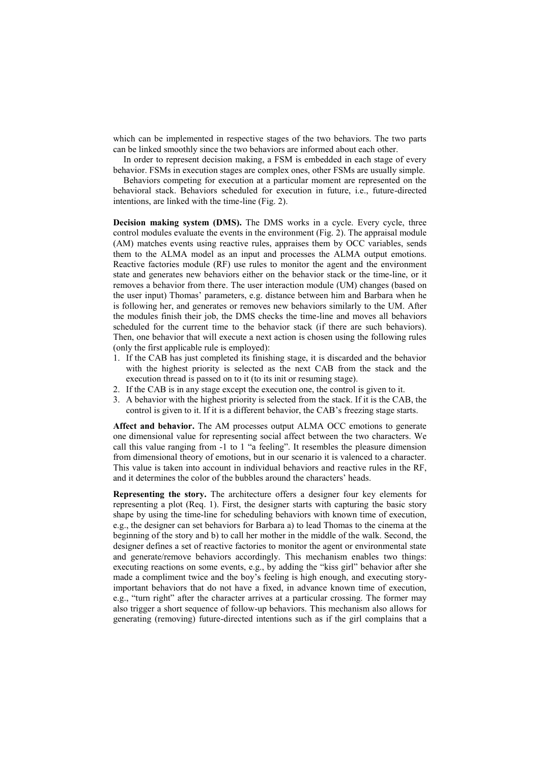which can be implemented in respective stages of the two behaviors. The two parts can be linked smoothly since the two behaviors are informed about each other.

In order to represent decision making, a FSM is embedded in each stage of every behavior. FSMs in execution stages are complex ones, other FSMs are usually simple.

Behaviors competing for execution at a particular moment are represented on the behavioral stack. Behaviors scheduled for execution in future, i.e., future-directed intentions, are linked with the time-line (Fig. 2).

**Decision making system (DMS).** The DMS works in a cycle. Every cycle, three control modules evaluate the events in the environment (Fig. 2). The appraisal module (AM) matches events using reactive rules, appraises them by OCC variables, sends them to the ALMA model as an input and processes the ALMA output emotions. Reactive factories module (RF) use rules to monitor the agent and the environment state and generates new behaviors either on the behavior stack or the time-line, or it removes a behavior from there. The user interaction module (UM) changes (based on the user input) Thomas' parameters, e.g. distance between him and Barbara when he is following her, and generates or removes new behaviors similarly to the UM. After the modules finish their job, the DMS checks the time-line and moves all behaviors scheduled for the current time to the behavior stack (if there are such behaviors). Then, one behavior that will execute a next action is chosen using the following rules (only the first applicable rule is employed):

- 1. If the CAB has just completed its finishing stage, it is discarded and the behavior with the highest priority is selected as the next CAB from the stack and the execution thread is passed on to it (to its init or resuming stage).
- 2. If the CAB is in any stage except the execution one, the control is given to it.
- 3. A behavior with the highest priority is selected from the stack. If it is the CAB, the control is given to it. If it is a different behavior, the CAB's freezing stage starts.

**Affect and behavior.** The AM processes output ALMA OCC emotions to generate one dimensional value for representing social affect between the two characters. We call this value ranging from -1 to 1 "a feeling". It resembles the pleasure dimension from dimensional theory of emotions, but in our scenario it is valenced to a character. This value is taken into account in individual behaviors and reactive rules in the RF, and it determines the color of the bubbles around the characters' heads.

**Representing the story.** The architecture offers a designer four key elements for representing a plot (Req. 1). First, the designer starts with capturing the basic story shape by using the time-line for scheduling behaviors with known time of execution, e.g., the designer can set behaviors for Barbara a) to lead Thomas to the cinema at the beginning of the story and b) to call her mother in the middle of the walk. Second, the designer defines a set of reactive factories to monitor the agent or environmental state and generate/remove behaviors accordingly. This mechanism enables two things: executing reactions on some events, e.g., by adding the "kiss girl" behavior after she made a compliment twice and the boy's feeling is high enough, and executing storyimportant behaviors that do not have a fixed, in advance known time of execution, e.g., "turn right" after the character arrives at a particular crossing. The former may also trigger a short sequence of follow-up behaviors. This mechanism also allows for generating (removing) future-directed intentions such as if the girl complains that a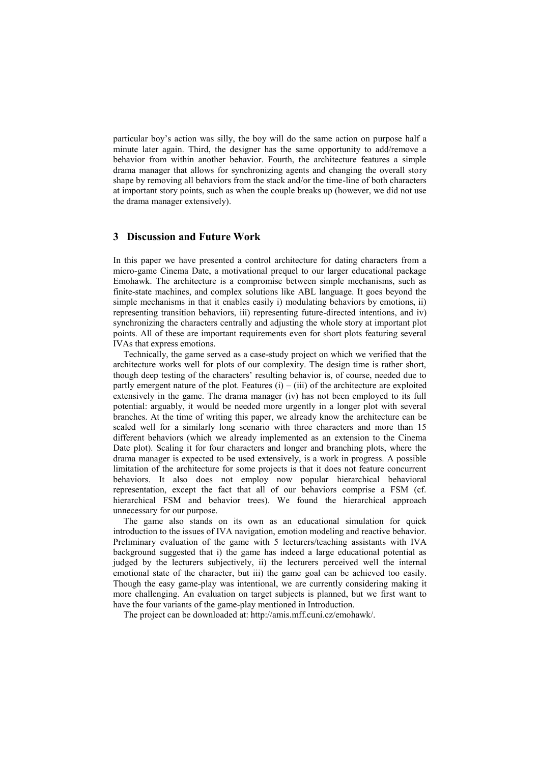particular boy's action was silly, the boy will do the same action on purpose half a minute later again. Third, the designer has the same opportunity to add/remove a behavior from within another behavior. Fourth, the architecture features a simple drama manager that allows for synchronizing agents and changing the overall story shape by removing all behaviors from the stack and/or the time-line of both characters at important story points, such as when the couple breaks up (however, we did not use the drama manager extensively).

## **3 Discussion and Future Work**

In this paper we have presented a control architecture for dating characters from a micro-game Cinema Date, a motivational prequel to our larger educational package Emohawk. The architecture is a compromise between simple mechanisms, such as finite-state machines, and complex solutions like ABL language. It goes beyond the simple mechanisms in that it enables easily i) modulating behaviors by emotions, ii) representing transition behaviors, iii) representing future-directed intentions, and iv) synchronizing the characters centrally and adjusting the whole story at important plot points. All of these are important requirements even for short plots featuring several IVAs that express emotions.

Technically, the game served as a case-study project on which we verified that the architecture works well for plots of our complexity. The design time is rather short, though deep testing of the characters' resulting behavior is, of course, needed due to partly emergent nature of the plot. Features  $(i) - (iii)$  of the architecture are exploited extensively in the game. The drama manager (iv) has not been employed to its full potential: arguably, it would be needed more urgently in a longer plot with several branches. At the time of writing this paper, we already know the architecture can be scaled well for a similarly long scenario with three characters and more than 15 different behaviors (which we already implemented as an extension to the Cinema Date plot). Scaling it for four characters and longer and branching plots, where the drama manager is expected to be used extensively, is a work in progress. A possible limitation of the architecture for some projects is that it does not feature concurrent behaviors. It also does not employ now popular hierarchical behavioral representation, except the fact that all of our behaviors comprise a FSM (cf. hierarchical FSM and behavior trees). We found the hierarchical approach unnecessary for our purpose.

The game also stands on its own as an educational simulation for quick introduction to the issues of IVA navigation, emotion modeling and reactive behavior. Preliminary evaluation of the game with 5 lecturers/teaching assistants with IVA background suggested that i) the game has indeed a large educational potential as judged by the lecturers subjectively, ii) the lecturers perceived well the internal emotional state of the character, but iii) the game goal can be achieved too easily. Though the easy game-play was intentional, we are currently considering making it more challenging. An evaluation on target subjects is planned, but we first want to have the four variants of the game-play mentioned in Introduction.

The project can be downloaded at: http://amis.mff.cuni.cz/emohawk/.